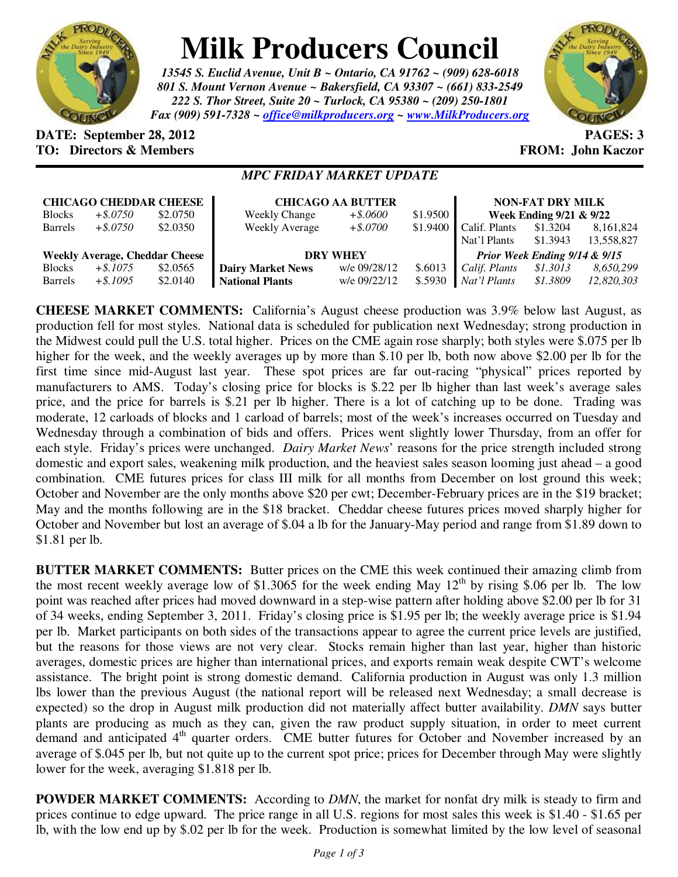

## **Milk Producers Council**

*13545 S. Euclid Avenue, Unit B ~ Ontario, CA 91762 ~ (909) 628-6018 801 S. Mount Vernon Avenue ~ Bakersfield, CA 93307 ~ (661) 833-2549 222 S. Thor Street, Suite 20 ~ Turlock, CA 95380 ~ (209) 250-1801 Fax (909) 591-7328 ~ office@milkproducers.org ~ www.MilkProducers.org*



## **DATE: September 28, 2012 PAGES: 3 TO: Directors & Members EXALLECTION: Solution FROM: John Kaczor**

## *MPC FRIDAY MARKET UPDATE*

| <b>CHICAGO CHEDDAR CHEESE</b>         |             |          | <b>CHICAGO AA BUTTER</b> |              |          | <b>NON-FAT DRY MILK</b>       |          |             |
|---------------------------------------|-------------|----------|--------------------------|--------------|----------|-------------------------------|----------|-------------|
| <b>Blocks</b>                         | $+$ \$.0750 | \$2.0750 | <b>Weekly Change</b>     | $+$ \$.0600  | \$1.9500 | Week Ending 9/21 & 9/22       |          |             |
| <b>Barrels</b>                        | $+$ \$.0750 | \$2.0350 | <b>Weekly Average</b>    | $+$ \$.0700  | \$1.9400 | Calif. Plants                 | \$1.3204 | 8, 161, 824 |
|                                       |             |          |                          |              |          | Nat'l Plants                  | \$1.3943 | 13,558,827  |
| <b>Weekly Average, Cheddar Cheese</b> |             |          | <b>DRY WHEY</b>          |              |          | Prior Week Ending 9/14 & 9/15 |          |             |
| <b>Blocks</b>                         | $+$ \$.1075 | \$2.0565 | <b>Dairy Market News</b> | w/e 09/28/12 | \$.6013  | Calif. Plants                 | \$1.3013 | 8,650,299   |
| <b>Barrels</b>                        | $+$ \$.1095 | \$2.0140 | <b>National Plants</b>   | w/e 09/22/12 | \$.5930  | Nat'l Plants                  | \$1.3809 | 12,820,303  |

**CHEESE MARKET COMMENTS:** California's August cheese production was 3.9% below last August, as production fell for most styles. National data is scheduled for publication next Wednesday; strong production in the Midwest could pull the U.S. total higher. Prices on the CME again rose sharply; both styles were \$.075 per lb higher for the week, and the weekly averages up by more than \$.10 per lb, both now above \$2.00 per lb for the first time since mid-August last year. These spot prices are far out-racing "physical" prices reported by manufacturers to AMS. Today's closing price for blocks is \$.22 per lb higher than last week's average sales price, and the price for barrels is \$.21 per lb higher. There is a lot of catching up to be done. Trading was moderate, 12 carloads of blocks and 1 carload of barrels; most of the week's increases occurred on Tuesday and Wednesday through a combination of bids and offers. Prices went slightly lower Thursday, from an offer for each style. Friday's prices were unchanged. *Dairy Market News*' reasons for the price strength included strong domestic and export sales, weakening milk production, and the heaviest sales season looming just ahead – a good combination. CME futures prices for class III milk for all months from December on lost ground this week; October and November are the only months above \$20 per cwt; December-February prices are in the \$19 bracket; May and the months following are in the \$18 bracket. Cheddar cheese futures prices moved sharply higher for October and November but lost an average of \$.04 a lb for the January-May period and range from \$1.89 down to \$1.81 per lb.

**BUTTER MARKET COMMENTS:** Butter prices on the CME this week continued their amazing climb from the most recent weekly average low of \$1.3065 for the week ending May  $12<sup>th</sup>$  by rising \$.06 per lb. The low point was reached after prices had moved downward in a step-wise pattern after holding above \$2.00 per lb for 31 of 34 weeks, ending September 3, 2011. Friday's closing price is \$1.95 per lb; the weekly average price is \$1.94 per lb. Market participants on both sides of the transactions appear to agree the current price levels are justified, but the reasons for those views are not very clear. Stocks remain higher than last year, higher than historic averages, domestic prices are higher than international prices, and exports remain weak despite CWT's welcome assistance. The bright point is strong domestic demand. California production in August was only 1.3 million lbs lower than the previous August (the national report will be released next Wednesday; a small decrease is expected) so the drop in August milk production did not materially affect butter availability. *DMN* says butter plants are producing as much as they can, given the raw product supply situation, in order to meet current demand and anticipated  $4<sup>th</sup>$  quarter orders. CME butter futures for October and November increased by an average of \$.045 per lb, but not quite up to the current spot price; prices for December through May were slightly lower for the week, averaging \$1.818 per lb.

**POWDER MARKET COMMENTS:** According to *DMN*, the market for nonfat dry milk is steady to firm and prices continue to edge upward. The price range in all U.S. regions for most sales this week is \$1.40 - \$1.65 per lb, with the low end up by \$.02 per lb for the week. Production is somewhat limited by the low level of seasonal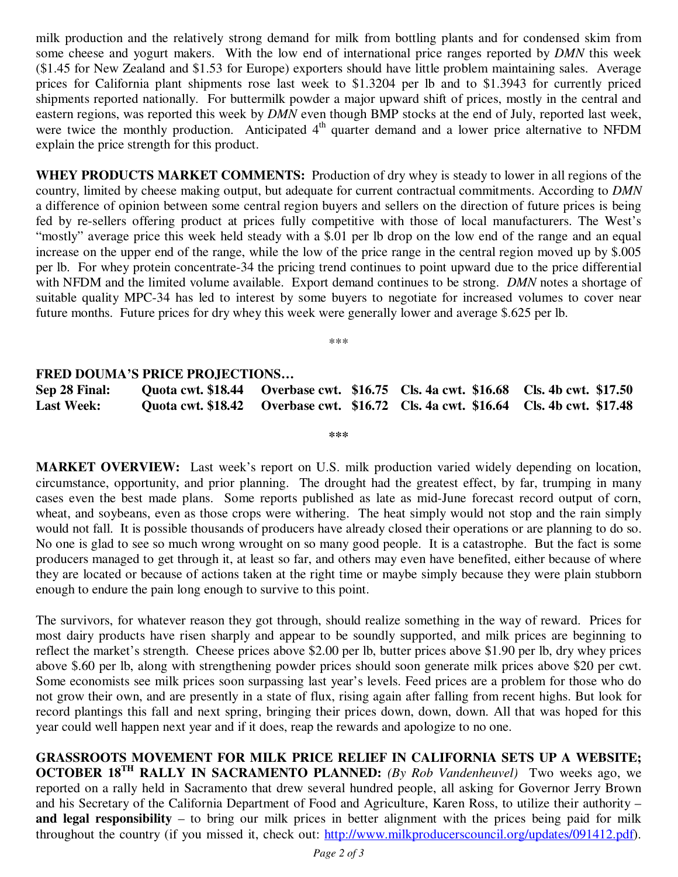milk production and the relatively strong demand for milk from bottling plants and for condensed skim from some cheese and yogurt makers. With the low end of international price ranges reported by *DMN* this week (\$1.45 for New Zealand and \$1.53 for Europe) exporters should have little problem maintaining sales. Average prices for California plant shipments rose last week to \$1.3204 per lb and to \$1.3943 for currently priced shipments reported nationally. For buttermilk powder a major upward shift of prices, mostly in the central and eastern regions, was reported this week by *DMN* even though BMP stocks at the end of July, reported last week, were twice the monthly production. Anticipated 4<sup>th</sup> quarter demand and a lower price alternative to NFDM explain the price strength for this product.

**WHEY PRODUCTS MARKET COMMENTS:** Production of dry whey is steady to lower in all regions of the country, limited by cheese making output, but adequate for current contractual commitments. According to *DMN* a difference of opinion between some central region buyers and sellers on the direction of future prices is being fed by re-sellers offering product at prices fully competitive with those of local manufacturers. The West's "mostly" average price this week held steady with a \$.01 per lb drop on the low end of the range and an equal increase on the upper end of the range, while the low of the price range in the central region moved up by \$.005 per lb. For whey protein concentrate-34 the pricing trend continues to point upward due to the price differential with NFDM and the limited volume available. Export demand continues to be strong. *DMN* notes a shortage of suitable quality MPC-34 has led to interest by some buyers to negotiate for increased volumes to cover near future months. Future prices for dry whey this week were generally lower and average \$.625 per lb.

\*\*\*

## **FRED DOUMA'S PRICE PROJECTIONS…**

**Sep 28 Final: Quota cwt. \$18.44 Overbase cwt. \$16.75 Cls. 4a cwt. \$16.68 Cls. 4b cwt. \$17.50 Last Week: Quota cwt. \$18.42 Overbase cwt. \$16.72 Cls. 4a cwt. \$16.64 Cls. 4b cwt. \$17.48** 

**\*\*\*** 

**MARKET OVERVIEW:** Last week's report on U.S. milk production varied widely depending on location, circumstance, opportunity, and prior planning. The drought had the greatest effect, by far, trumping in many cases even the best made plans. Some reports published as late as mid-June forecast record output of corn, wheat, and soybeans, even as those crops were withering. The heat simply would not stop and the rain simply would not fall. It is possible thousands of producers have already closed their operations or are planning to do so. No one is glad to see so much wrong wrought on so many good people. It is a catastrophe. But the fact is some producers managed to get through it, at least so far, and others may even have benefited, either because of where they are located or because of actions taken at the right time or maybe simply because they were plain stubborn enough to endure the pain long enough to survive to this point.

The survivors, for whatever reason they got through, should realize something in the way of reward. Prices for most dairy products have risen sharply and appear to be soundly supported, and milk prices are beginning to reflect the market's strength. Cheese prices above \$2.00 per lb, butter prices above \$1.90 per lb, dry whey prices above \$.60 per lb, along with strengthening powder prices should soon generate milk prices above \$20 per cwt. Some economists see milk prices soon surpassing last year's levels. Feed prices are a problem for those who do not grow their own, and are presently in a state of flux, rising again after falling from recent highs. But look for record plantings this fall and next spring, bringing their prices down, down, down. All that was hoped for this year could well happen next year and if it does, reap the rewards and apologize to no one.

**GRASSROOTS MOVEMENT FOR MILK PRICE RELIEF IN CALIFORNIA SETS UP A WEBSITE; OCTOBER 18TH RALLY IN SACRAMENTO PLANNED:** *(By Rob Vandenheuvel)* Two weeks ago, we reported on a rally held in Sacramento that drew several hundred people, all asking for Governor Jerry Brown and his Secretary of the California Department of Food and Agriculture, Karen Ross, to utilize their authority – **and legal responsibility** – to bring our milk prices in better alignment with the prices being paid for milk throughout the country (if you missed it, check out: http://www.milkproducerscouncil.org/updates/091412.pdf).